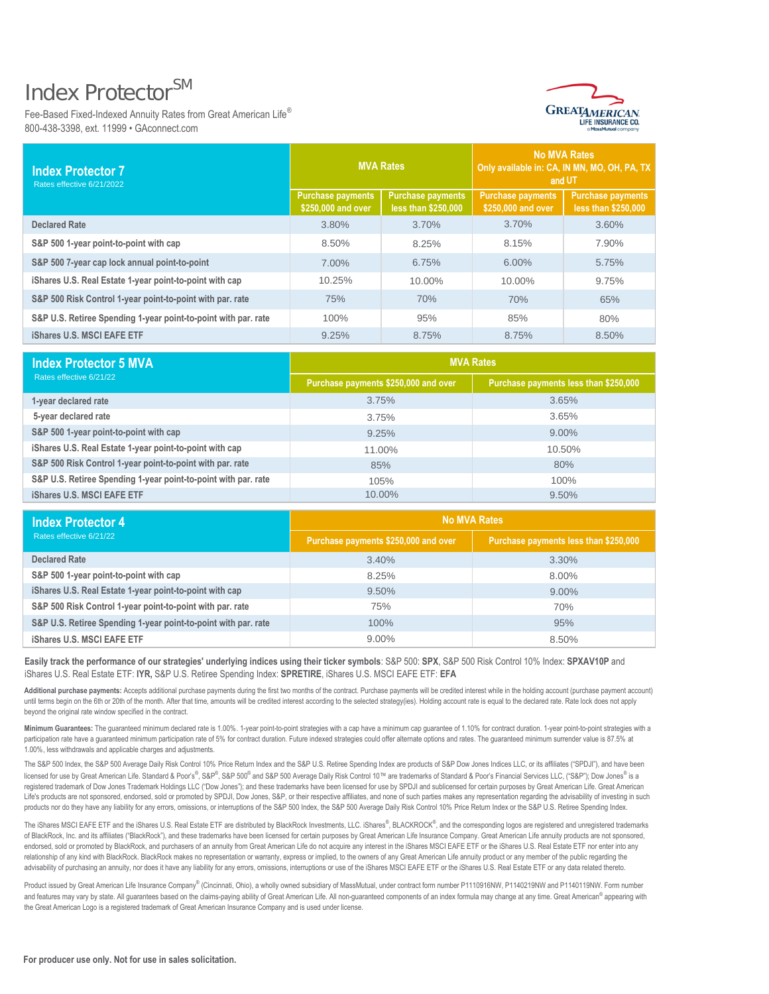## Index Protector<sup>SM</sup>

Fee-Based Fixed-Indexed Annuity Rates from Great American Life® 800-438-3398, ext. 11999 • GAconnect.com



| <b>Index Protector 7</b><br>Rates effective 6/21/2022          | <b>MVA Rates</b>                               |                                                 | <b>No MVA Rates</b><br>Only available in: CA, IN MN, MO, OH, PA, TX<br>and UT |                                                 |
|----------------------------------------------------------------|------------------------------------------------|-------------------------------------------------|-------------------------------------------------------------------------------|-------------------------------------------------|
|                                                                | <b>Purchase payments</b><br>\$250,000 and over | <b>Purchase payments</b><br>less than \$250,000 | <b>Purchase payments</b><br>\$250,000 and over                                | <b>Purchase payments</b><br>less than \$250,000 |
| <b>Declared Rate</b>                                           | 3.80%                                          | 3.70%                                           | 3.70%                                                                         | 3.60%                                           |
| S&P 500 1-year point-to-point with cap                         | 8.50%                                          | 8.25%                                           | 8.15%                                                                         | 7.90%                                           |
| S&P 500 7-year cap lock annual point-to-point                  | 7.00%                                          | 6.75%                                           | 6.00%                                                                         | 5.75%                                           |
| iShares U.S. Real Estate 1-year point-to-point with cap        | 10.25%                                         | 10.00%                                          | 10.00%                                                                        | 9.75%                                           |
| S&P 500 Risk Control 1-year point-to-point with par. rate      | 75%                                            | 70%                                             | 70%                                                                           | 65%                                             |
| S&P U.S. Retiree Spending 1-year point-to-point with par. rate | 100%                                           | 95%                                             | 85%                                                                           | 80%                                             |
| <b>iShares U.S. MSCI EAFE ETF</b>                              | 9.25%                                          | 8.75%                                           | 8.75%                                                                         | 8.50%                                           |
| <b>Index Protector 5 MVA</b>                                   | <b>MVA Rates</b>                               |                                                 |                                                                               |                                                 |
| Rates effective 6/21/22                                        | Purchase payments \$250,000 and over           |                                                 | Purchase payments less than \$250,000                                         |                                                 |
| 1-year declared rate                                           | 3.75%                                          |                                                 | 3.65%                                                                         |                                                 |
| 5-year declared rate                                           | 3.75%                                          |                                                 | 3.65%                                                                         |                                                 |
| S&P 500 1-year point-to-point with cap                         | 9.25%                                          |                                                 | 9.00%                                                                         |                                                 |
| iShares U.S. Real Estate 1-year point-to-point with cap        | 11.00%                                         |                                                 | 10.50%                                                                        |                                                 |
| S&P 500 Risk Control 1-year point-to-point with par. rate      | 85%                                            |                                                 | 80%                                                                           |                                                 |
| S&P U.S. Retiree Spending 1-year point-to-point with par. rate | 105%                                           |                                                 | 100%                                                                          |                                                 |
| <b>iShares U.S. MSCI EAFE ETF</b>                              |                                                | 10.00%                                          |                                                                               | 9.50%                                           |
| <b>Index Protector 4</b>                                       | <b>No MVA Rates</b>                            |                                                 |                                                                               |                                                 |
| Rates effective 6/21/22                                        | Purchase payments \$250,000 and over           |                                                 | Purchase payments less than \$250,000                                         |                                                 |
| <b>Declared Rate</b>                                           | 3.40%                                          |                                                 | 3.30%                                                                         |                                                 |
| S&P 500 1-year point-to-point with cap                         | 8.25%                                          |                                                 | 8.00%                                                                         |                                                 |
| iShares U.S. Real Estate 1-year point-to-point with cap        | 9.50%                                          |                                                 | 9.00%                                                                         |                                                 |
| S&P 500 Risk Control 1-year point-to-point with par. rate      | 75%                                            |                                                 | 70%                                                                           |                                                 |
| S&P U.S. Retiree Spending 1-year point-to-point with par. rate | 100%                                           |                                                 | 95%                                                                           |                                                 |
| <b>iShares U.S. MSCI EAFE ETF</b>                              | 9.00%                                          |                                                 | 8.50%                                                                         |                                                 |

| <b>Index Protector 5 MVA</b>                                   | <b>MVA Rates</b>                     |                                       |  |
|----------------------------------------------------------------|--------------------------------------|---------------------------------------|--|
| Rates effective 6/21/22                                        | Purchase payments \$250,000 and over | Purchase payments less than \$250,000 |  |
| 1-year declared rate                                           | 3.75%                                | 3.65%                                 |  |
| 5-year declared rate                                           | 3.75%                                | 3.65%                                 |  |
| S&P 500 1-year point-to-point with cap                         | 9.25%                                | $9.00\%$                              |  |
| iShares U.S. Real Estate 1-year point-to-point with cap        | 11.00%                               | 10.50%                                |  |
| S&P 500 Risk Control 1-year point-to-point with par. rate      | 85%                                  | 80%                                   |  |
| S&P U.S. Retiree Spending 1-year point-to-point with par. rate | 105%                                 | 100%                                  |  |
| <b>iShares U.S. MSCI EAFE ETF</b>                              | 10.00%                               | $9.50\%$                              |  |

| <b>Index Protector 4</b><br>Rates effective 6/21/22            | <b>No MVA Rates</b>                  |                                       |  |
|----------------------------------------------------------------|--------------------------------------|---------------------------------------|--|
|                                                                | Purchase payments \$250,000 and over | Purchase payments less than \$250,000 |  |
| <b>Declared Rate</b>                                           | 3.40%                                | $3.30\%$                              |  |
| S&P 500 1-year point-to-point with cap                         | 8.25%                                | $8.00\%$                              |  |
| iShares U.S. Real Estate 1-year point-to-point with cap        | 9.50%                                | $9.00\%$                              |  |
| S&P 500 Risk Control 1-year point-to-point with par. rate      | 75%                                  | 70%                                   |  |
| S&P U.S. Retiree Spending 1-year point-to-point with par. rate | 100%                                 | 95%                                   |  |
| <b>iShares U.S. MSCI EAFE ETF</b>                              | $9.00\%$                             | 8.50%                                 |  |

**Easily track the performance of our strategies' underlying indices using their ticker symbols**: S&P 500: **SPX**, S&P 500 Risk Control 10% Index: **SPXAV10P** and iShares U.S. Real Estate ETF: **IYR,** S&P U.S. Retiree Spending Index: **SPRETIRE**, iShares U.S. MSCI EAFE ETF: **EFA**

**Additional purchase payments:** Accepts additional purchase payments during the first two months of the contract. Purchase payments will be credited interest while in the holding account (purchase payment account) until terms begin on the 6th or 20th of the month. After that time, amounts will be credited interest according to the selected strategy(ies). Holding account rate is equal to the declared rate. Rate lock does not apply beyond the original rate window specified in the contract.

Minimum Guarantees: The guaranteed minimum declared rate is 1.00%. 1-year point-to-point strategies with a cap have a minimum cap guarantee of 1.10% for contract duration. 1-year point-to-point strategies with a participation rate have a guaranteed minimum participation rate of 5% for contract duration. Future indexed strategies could offer alternate options and rates. The guaranteed minimum surrender value is 87.5% at 1.00%, less withdrawals and applicable charges and adjustments.

The S&P 500 Index, the S&P 500 Average Daily Risk Control 10% Price Return Index and the S&P U.S. Retiree Spending Index are products of S&P Dow Jones Indices LLC, or its affiliates ("SPDJI"), and have been licensed for use by Great American Life. Standard & Poor's®, S&P ®, S&P 500® and S&P 500 Average Daily Risk Control 10™ are trademarks of Standard & Poor's Financial Services LLC, ("S&P"); Dow Jones® is a registered trademark of Dow Jones Trademark Holdings LLC ("Dow Jones"); and these trademarks have been licensed for use by SPDJI and sublicensed for certain purposes by Great American Life. Great American Life's products are not sponsored, endorsed, sold or promoted by SPDJI, Dow Jones, S&P, or their respective affiliates, and none of such parties makes any representation regarding the advisability of investing in such products nor do they have any liability for any errors, omissions, or interruptions of the S&P 500 Index, the S&P 500 Average Daily Risk Control 10% Price Return Index or the S&P U.S. Retiree Spending Index.

The iShares MSCI EAFE ETF and the iShares U.S. Real Estate ETF are distributed by BlackRock Investments, LLC. iShares®, BLACKROCK®, and the corresponding logos are registered and unregistered trademarks of BlackRock, Inc. and its affiliates ("BlackRock"), and these trademarks have been licensed for certain purposes by Great American Life Insurance Company. Great American Life annuity products are not sponsored, endorsed, sold or promoted by BlackRock, and purchasers of an annuity from Great American Life do not acquire any interest in the iShares MSCI EAFE ETF or the iShares U.S. Real Estate ETF nor enter into any relationship of any kind with BlackRock. BlackRock makes no representation or warranty, express or implied, to the owners of any Great American Life annuity product or any member of the public regarding the advisability of purchasing an annuity, nor does it have any liability for any errors, omissions, interruptions or use of the iShares MSCI EAFE ETF or the iShares U.S. Real Estate ETF or any data related thereto.

Product issued by Great American Life Insurance Company® (Cincinnati, Ohio), a wholly owned subsidiary of MassMutual, under contract form number P1110916NW, P1140219NW and P1140119NW. Form number and features may vary by state. All guarantees based on the claims-paying ability of Great American Life. All non-guaranteed components of an index formula may change at any time. Great American<sup>®</sup> appearing with the Great American Logo is a registered trademark of Great American Insurance Company and is used under license.